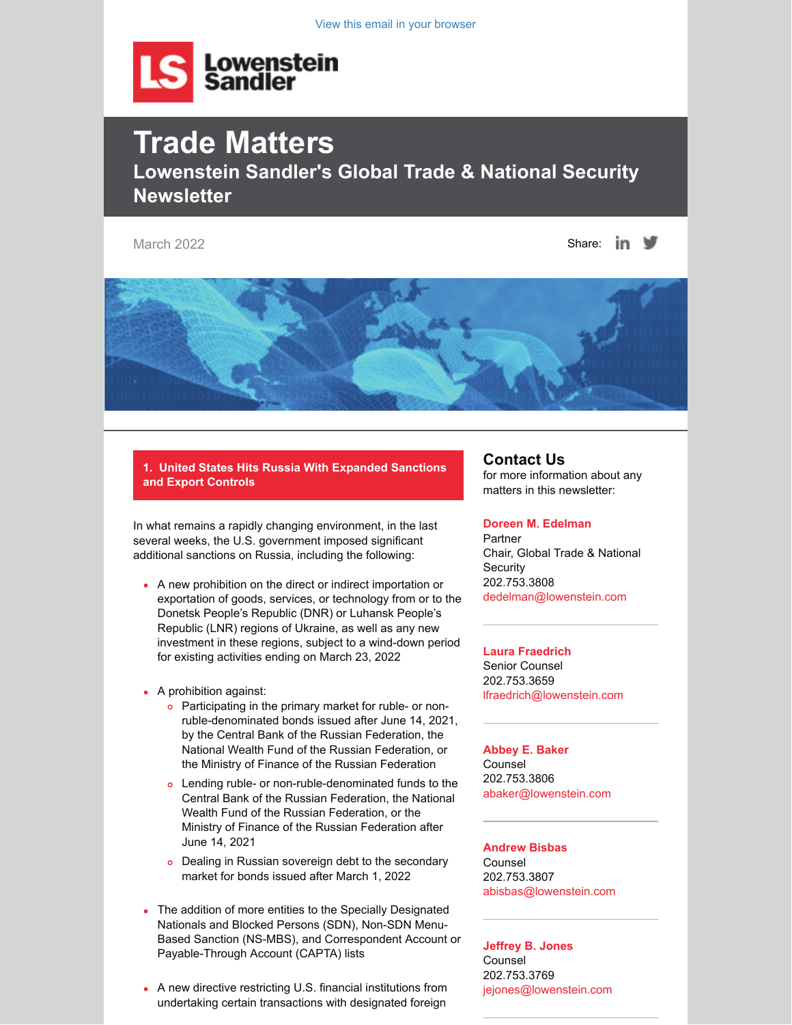View this email in your browser



# **Trade Matters Lowenstein Sandler's Global Trade & National Security Newsletter**

March 2022  $\blacksquare$ 



**1. United States Hits Russia With Expanded Sanctions and Export Controls**

In what remains a rapidly changing environment, in the last several weeks, the U.S. government imposed significant additional sanctions on Russia, including the following:

- A new prohibition on the direct or indirect importation or exportation of goods, services, or technology from or to the Donetsk People's Republic (DNR) or Luhansk People's Republic (LNR) regions of Ukraine, as well as any new investment in these regions, subject to a wind-down period for existing activities ending on March 23, 2022
- A prohibition against:
	- o Participating in the primary market for ruble- or nonruble-denominated bonds issued after June 14, 2021, by the Central Bank of the Russian Federation, the National Wealth Fund of the Russian Federation, or the Ministry of Finance of the Russian Federation
	- Lending ruble- or non-ruble-denominated funds to the Central Bank of the Russian Federation, the National Wealth Fund of the Russian Federation, or the Ministry of Finance of the Russian Federation after June 14, 2021
	- o Dealing in Russian sovereign debt to the secondary market for bonds issued after March 1, 2022
- The addition of more entities to the Specially Designated Nationals and Blocked Persons (SDN), Non-SDN Menu-Based Sanction (NS-MBS), and Correspondent Account or Payable-Through Account (CAPTA) lists
- A new directive restricting U.S. financial institutions from undertaking certain transactions with designated foreign

### **Contact Us**

for more information about any matters in this newsletter:

#### **[Doreen M. Edelman](https://www.lowenstein.com/people/attorneys/doreen-edelman)**

Partner Chair, Global Trade & National **Security** 202.753.3808 [dedelman@lowenstein.com](https://my.lowenstein.com/16/3622/compose-email/dedelman@lowenstein.com)

#### **[Laura Fraedrich](https://www.lowenstein.com/people/attorneys/laura-fraedrich)**

Senior Counsel 202.753.3659 [lfraedrich@lowenstein.com](mailto:lfraedrich@lowenstein.com)

#### **[Abbey E. Baker](https://www.lowenstein.com/people/attorneys/abbey-baker)** Counsel 202.753.3806

[abaker@lowenstein.com](mailto:abaker@lowenstein.com)

#### **[Andrew Bisbas](https://www.lowenstein.com/people/attorneys/andrew-bisbas)** Counsel 202.753.3807 [abisbas@lowenstein.com](mailto:abisbas@lowenstein.com)

**[Jeffrey B. Jones](https://www.lowenstein.com/people/attorneys/jeffrey-jones)** Counsel 202.753.3769 [jejones@lowenstein.com](mailto:jejones@lowenstein.com)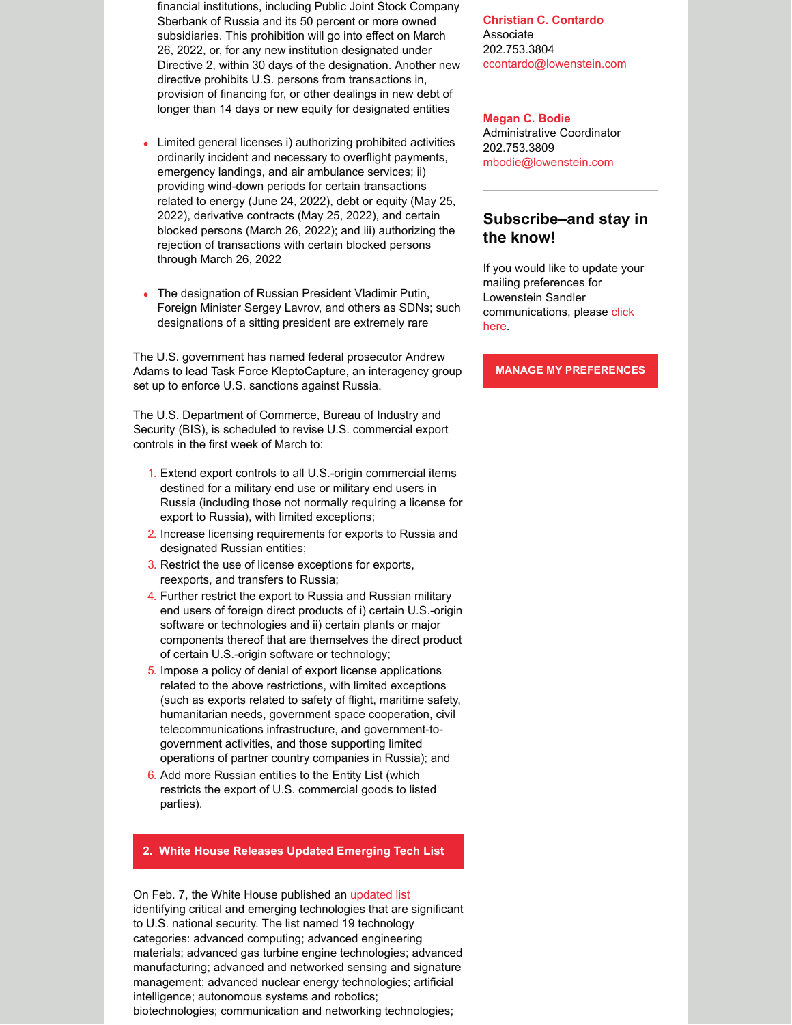financial institutions, including Public Joint Stock Company Sberbank of Russia and its 50 percent or more owned subsidiaries. This prohibition will go into effect on March 26, 2022, or, for any new institution designated under Directive 2, within 30 days of the designation. Another new directive prohibits U.S. persons from transactions in, provision of financing for, or other dealings in new debt of longer than 14 days or new equity for designated entities

- Limited general licenses i) authorizing prohibited activities ordinarily incident and necessary to overflight payments, emergency landings, and air ambulance services; ii) providing wind-down periods for certain transactions related to energy (June 24, 2022), debt or equity (May 25, 2022), derivative contracts (May 25, 2022), and certain blocked persons (March 26, 2022); and iii) authorizing the rejection of transactions with certain blocked persons through March 26, 2022
- The designation of Russian President Vladimir Putin, Foreign Minister Sergey Lavrov, and others as SDNs; such designations of a sitting president are extremely rare

The U.S. government has named federal prosecutor Andrew Adams to lead Task Force KleptoCapture, an interagency group set up to enforce U.S. sanctions against Russia.

The U.S. Department of Commerce, Bureau of Industry and Security (BIS), is scheduled to revise U.S. commercial export controls in the first week of March to:

- 1. Extend export controls to all U.S.-origin commercial items destined for a military end use or military end users in Russia (including those not normally requiring a license for export to Russia), with limited exceptions;
- 2. Increase licensing requirements for exports to Russia and designated Russian entities;
- 3. Restrict the use of license exceptions for exports, reexports, and transfers to Russia;
- 4. Further restrict the export to Russia and Russian military end users of foreign direct products of i) certain U.S.-origin software or technologies and ii) certain plants or major components thereof that are themselves the direct product of certain U.S.-origin software or technology;
- 5. Impose a policy of denial of export license applications related to the above restrictions, with limited exceptions (such as exports related to safety of flight, maritime safety, humanitarian needs, government space cooperation, civil telecommunications infrastructure, and government-togovernment activities, and those supporting limited operations of partner country companies in Russia); and
- 6. Add more Russian entities to the Entity List (which restricts the export of U.S. commercial goods to listed parties).

#### **2. White House Releases Updated Emerging Tech List**

On Feb. 7, the White House published an [updated list](https://www.whitehouse.gov/wp-content/uploads/2022/02/02-2022-Critical-and-Emerging-Technologies-List-Update.pdf) identifying critical and emerging technologies that are significant to U.S. national security. The list named 19 technology categories: advanced computing; advanced engineering materials; advanced gas turbine engine technologies; advanced manufacturing; advanced and networked sensing and signature management; advanced nuclear energy technologies; artificial intelligence; autonomous systems and robotics; biotechnologies; communication and networking technologies;

**[Christian C. Contardo](https://www.lowenstein.com/people/attorneys/christian-contardo)** Associate 202.753.3804 [ccontardo@lowenstein.com](mailto:ccontardo@lowenstein.com)

**[Megan C. Bodie](https://www.lowenstein.com/people/attorneys/megan-bodie)** Administrative Coordinator 202.753.3809 [mbodie@lowenstein.com](mailto:mbodie@lowenstein.com)

## **Subscribe–and stay in the know!**

If you would like to update your mailing preferences for Lowenstein Sandler [communications, please click](https://my.lowenstein.com/v/p1v6r6v) here.

**[MANAGE MY PREFERENCES](https://my.lowenstein.com/v/p1v6r6v)**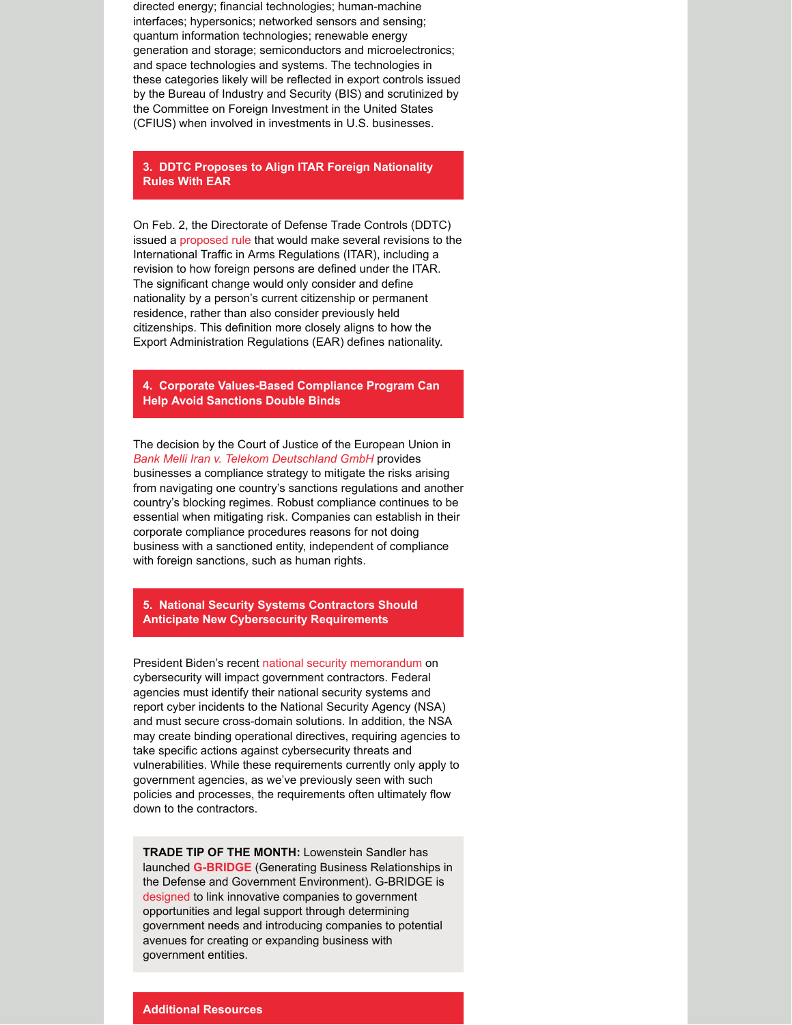directed energy; financial technologies; human-machine interfaces; hypersonics; networked sensors and sensing; quantum information technologies; renewable energy generation and storage; semiconductors and microelectronics; and space technologies and systems. The technologies in these categories likely will be reflected in export controls issued by the Bureau of Industry and Security (BIS) and scrutinized by the Committee on Foreign Investment in the United States (CFIUS) when involved in investments in U.S. businesses.

**3. DDTC Proposes to Align ITAR Foreign Nationality Rules With EAR**

On Feb. 2, the Directorate of Defense Trade Controls (DDTC) issued a [proposed rule](https://www.federalregister.gov/documents/2022/02/02/2022-01889/international-traffic-in-arms-regulations-corrections-and-clarifications-for-export-and-reexport) that would make several revisions to the International Traffic in Arms Regulations (ITAR), including a revision to how foreign persons are defined under the ITAR. The significant change would only consider and define nationality by a person's current citizenship or permanent residence, rather than also consider previously held citizenships. This definition more closely aligns to how the Export Administration Regulations (EAR) defines nationality.

**4. Corporate Values-Based Compliance Program Can Help Avoid Sanctions Double Binds**

The decision by the Court of Justice of the European Union in *[Bank Melli Iran v. Telekom Deutschland GmbH](https://eur-lex.europa.eu/legal-content/EN/TXT/?uri=CELEX:62020CJ0124)* provides businesses a compliance strategy to mitigate the risks arising from navigating one country's sanctions regulations and another country's blocking regimes. Robust compliance continues to be essential when mitigating risk. Companies can establish in their corporate compliance procedures reasons for not doing business with a sanctioned entity, independent of compliance with foreign sanctions, such as human rights.

**5. National Security Systems Contractors Should Anticipate New Cybersecurity Requirements**

President Biden's recent [national security memorandum](https://www.whitehouse.gov/briefing-room/presidential-actions/2022/01/19/memorandum-on-improving-the-cybersecurity-of-national-security-department-of-defense-and-intelligence-community-systems/) on cybersecurity will impact government contractors. Federal agencies must identify their national security systems and report cyber incidents to the National Security Agency (NSA) and must secure cross-domain solutions. In addition, the NSA may create binding operational directives, requiring agencies to take specific actions against cybersecurity threats and vulnerabilities. While these requirements currently only apply to government agencies, as we've previously seen with such policies and processes, the requirements often ultimately flow down to the contractors.

**TRADE TIP OF THE MONTH:** Lowenstein Sandler has launched **[G-BRIDGE](https://www.lowenstein.com/practices/global-trade-national-security/g-bridge)** (Generating Business Relationships in the Defense and Government Environment). G-BRIDGE is [designed](https://www.lowenstein.com/media/7700/g-bridge-one-pager.pdf) to link innovative companies to government opportunities and legal support through determining government needs and introducing companies to potential avenues for creating or expanding business with government entities.

#### **Additional Resources**